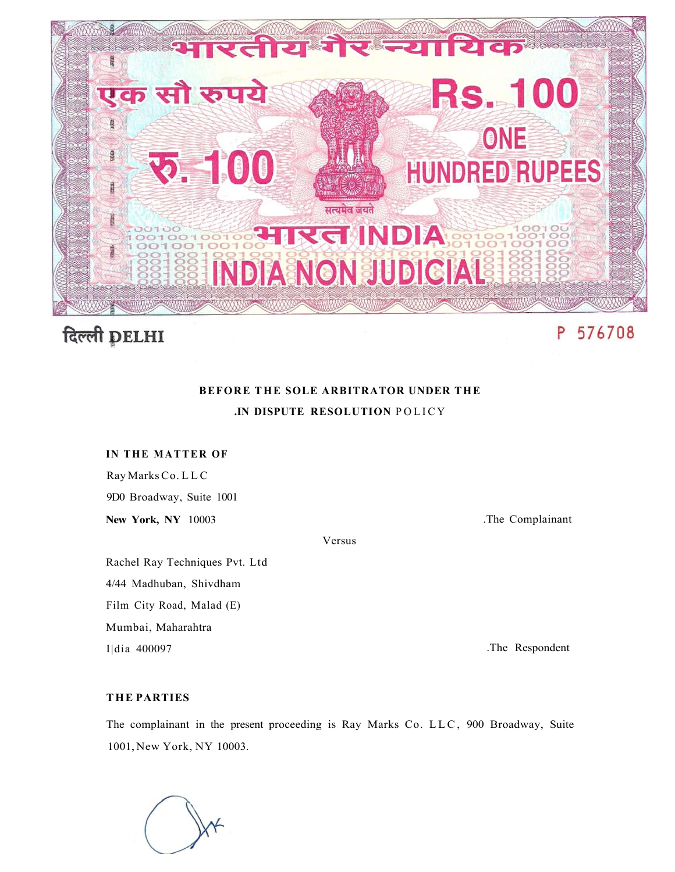

# दिल्ली DELHI

## P 576708

## **BEFORE THE SOLE ARBITRATOR UNDER THE .IN DISPUTE RESOLUTION** POLIC Y

#### **IN THE MATTER OF**

Ray Marks Co. LL C 9D0 Broadway, Suite 1001

**New York, NY** 10003

.The Complainant

Versus

Rachel Ray Techniques Pvt. Ltd 4/44 Madhuban, Shivdham

Film City Road, Malad (E)

Mumbai, Maharahtra

I|dia 400097

.The Respondent

#### **T HE PARTIES**

The complainant in the present proceeding is Ray Marks Co. LLC , 900 Broadway, Suite 1001, New York, NY 10003.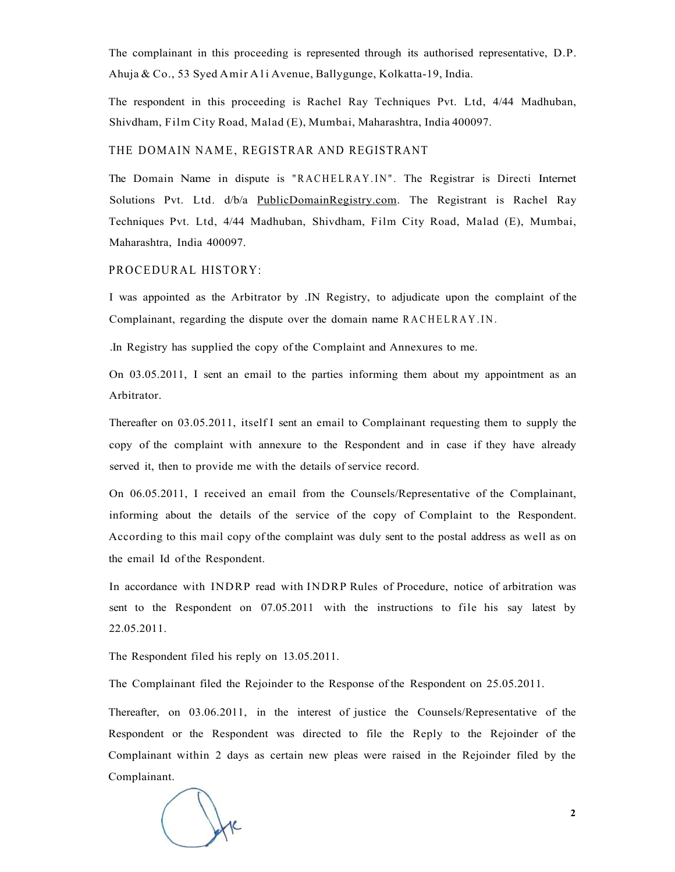The complainant in this proceeding is represented through its authorised representative, D.P. Ahuja & Co., 53 Syed Amir Ali Avenue, Ballygunge, Kolkatta-19, India.

The respondent in this proceeding is Rachel Ray Techniques Pvt. Ltd, 4/44 Madhuban, Shivdham, Film City Road, Malad (E), Mumbai, Maharashtra, India 400097.

#### THE DOMAIN NAME, REGISTRAR AND REGISTRANT

The Domain Name in dispute is "RACHELRAY.IN" . The Registrar is Directi Internet Solutions Pvt. Ltd. d/b/a [PublicDomainRegistry.com.](http://PublicDomainRegistry.com) The Registrant is Rachel Ray Techniques Pvt. Ltd, 4/44 Madhuban, Shivdham, Film City Road, Malad (E), Mumbai, Maharashtra, India 400097.

#### PROCEDURAL HISTORY:

I was appointed as the Arbitrator by .IN Registry, to adjudicate upon the complaint of the Complainant, regarding the dispute over the domain name RACHELRAY.IN.

.In Registry has supplied the copy of the Complaint and Annexures to me.

On 03.05.2011, I sent an email to the parties informing them about my appointment as an Arbitrator.

Thereafter on 03.05.2011, itself I sent an email to Complainant requesting them to supply the copy of the complaint with annexure to the Respondent and in case if they have already served it, then to provide me with the details of service record.

On 06.05.2011, I received an email from the Counsels/Representative of the Complainant, informing about the details of the service of the copy of Complaint to the Respondent. According to this mail copy of the complaint was duly sent to the postal address as well as on the email Id of the Respondent.

In accordance with INDRP read with INDRP Rules of Procedure, notice of arbitration was sent to the Respondent on 07.05.2011 with the instructions to file his say latest by 22.05.2011.

The Respondent filed his reply on 13.05.2011.

The Complainant filed the Rejoinder to the Response of the Respondent on 25.05.2011.

Thereafter, on 03.06.2011, in the interest of justice the Counsels/Representative of the Respondent or the Respondent was directed to file the Reply to the Rejoinder of the Complainant within 2 days as certain new pleas were raised in the Rejoinder filed by the Complainant.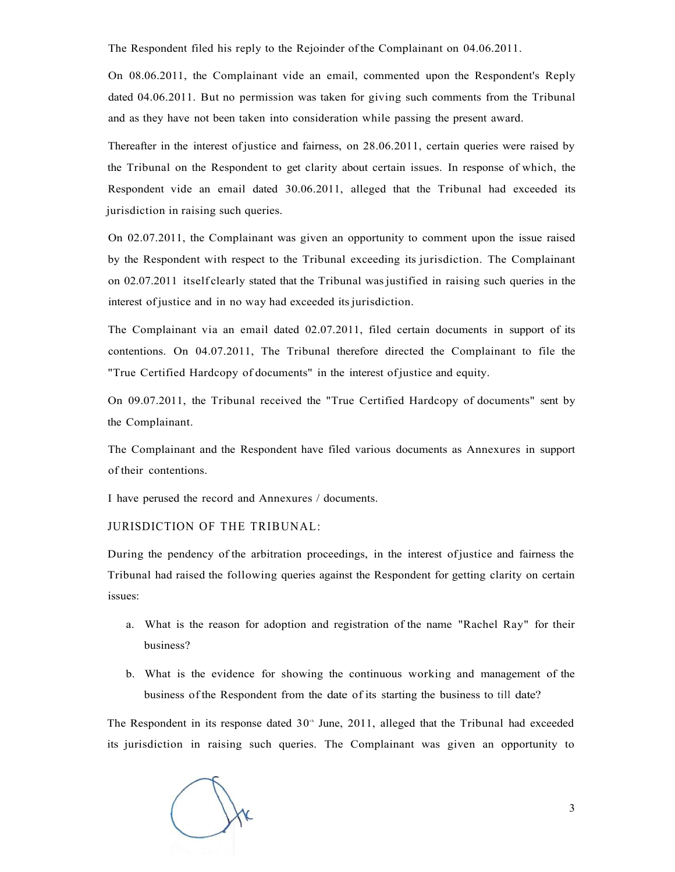The Respondent filed his reply to the Rejoinder of the Complainant on 04.06.2011.

On 08.06.2011, the Complainant vide an email, commented upon the Respondent's Reply dated 04.06.2011. But no permission was taken for giving such comments from the Tribunal and as they have not been taken into consideration while passing the present award.

Thereafter in the interest of justice and fairness, on 28.06.2011, certain queries were raised by the Tribunal on the Respondent to get clarity about certain issues. In response of which, the Respondent vide an email dated 30.06.2011, alleged that the Tribunal had exceeded its jurisdiction in raising such queries.

On 02.07.2011, the Complainant was given an opportunity to comment upon the issue raised by the Respondent with respect to the Tribunal exceeding its jurisdiction. The Complainant on 02.07.2011 itself clearly stated that the Tribunal was justified in raising such queries in the interest of justice and in no way had exceeded its jurisdiction.

The Complainant via an email dated 02.07.2011, filed certain documents in support of its contentions. On 04.07.2011, The Tribunal therefore directed the Complainant to file the "True Certified Hardcopy of documents" in the interest of justice and equity.

On 09.07.2011, the Tribunal received the "True Certified Hardcopy of documents" sent by the Complainant.

The Complainant and the Respondent have filed various documents as Annexures in support of their contentions.

I have perused the record and Annexures / documents.

JURISDICTION OF THE TRIBUNAL:

During the pendency of the arbitration proceedings, in the interest of justice and fairness the Tribunal had raised the following queries against the Respondent for getting clarity on certain issues:

- a. What is the reason for adoption and registration of the name "Rachel Ray" for their business?
- b. What is the evidence for showing the continuous working and management of the business of the Respondent from the date of its starting the business to till date?

The Respondent in its response dated  $30<sup>th</sup>$  June, 2011, alleged that the Tribunal had exceeded its jurisdiction in raising such queries. The Complainant was given an opportunity to

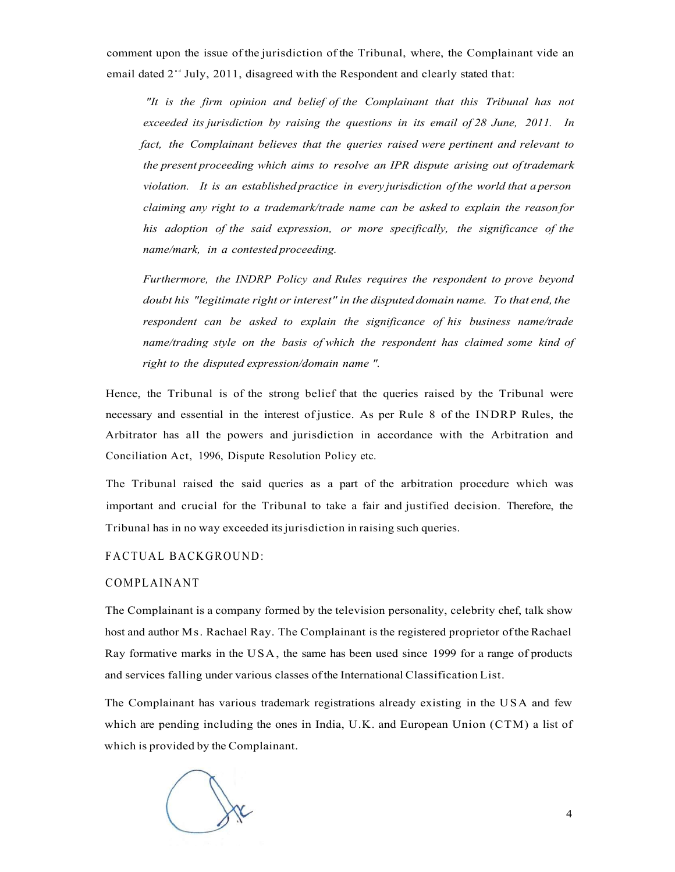comment upon the issue of the jurisdiction of the Tribunal, where, the Complainant vide an email dated  $2^{nd}$  July, 2011, disagreed with the Respondent and clearly stated that:

*"It is the firm opinion and belief of the Complainant that this Tribunal has not exceeded its jurisdiction by raising the questions in its email of 28 June, 2011. In fact, the Complainant believes that the queries raised were pertinent and relevant to the present proceeding which aims to resolve an IPR dispute arising out of trademark violation. It is an established practice in every jurisdiction of the world that a person claiming any right to a trademark/trade name can be asked to explain the reason for his adoption of the said expression, or more specifically, the significance of the name/mark, in a contested proceeding.* 

*Furthermore, the INDRP Policy and Rules requires the respondent to prove beyond doubt his "legitimate right or interest" in the disputed domain name. To that end, the respondent can be asked to explain the significance of his business name/trade name/trading style on the basis of which the respondent has claimed some kind of right to the disputed expression/domain name ".* 

Hence, the Tribunal is of the strong belief that the queries raised by the Tribunal were necessary and essential in the interest of justice. As per Rule 8 of the INDRP Rules, the Arbitrator has all the powers and jurisdiction in accordance with the Arbitration and Conciliation Act, 1996, Dispute Resolution Policy etc.

The Tribunal raised the said queries as a part of the arbitration procedure which was important and crucial for the Tribunal to take a fair and justified decision. Therefore, the Tribunal has in no way exceeded its jurisdiction in raising such queries.

#### FACTUAL BACKGROUND:

#### COMPLAINANT

The Complainant is a company formed by the television personality, celebrity chef, talk show host and author Ms. Rachael Ray. The Complainant is the registered proprietor of the Rachael Ray formative marks in the USA, the same has been used since 1999 for a range of products and services falling under various classes of the International Classification List.

The Complainant has various trademark registrations already existing in the USA and few which are pending including the ones in India, U.K. and European Union (CTM) a list of which is provided by the Complainant.

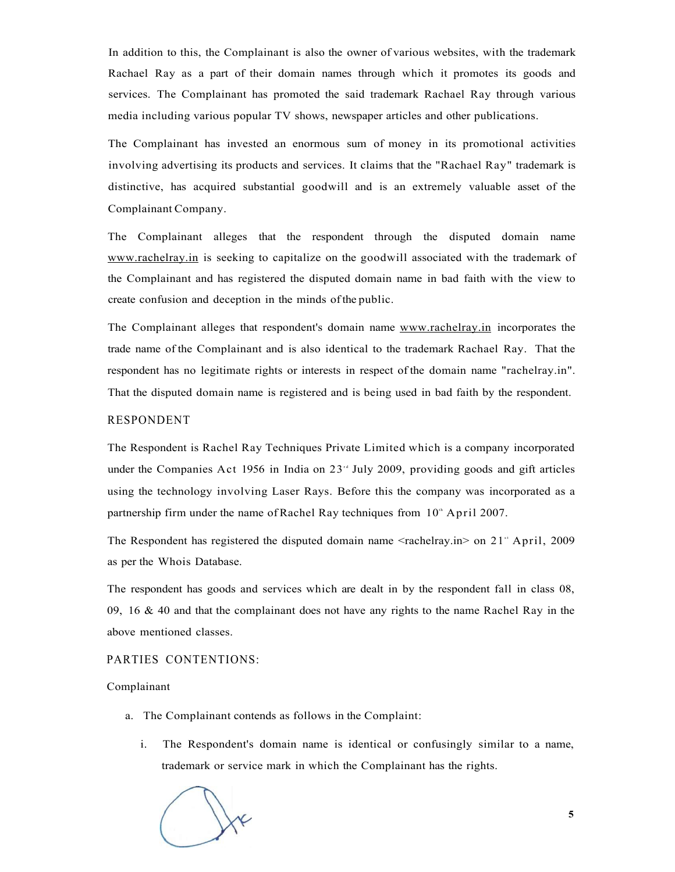In addition to this, the Complainant is also the owner of various websites, with the trademark Rachael Ray as a part of their domain names through which it promotes its goods and services. The Complainant has promoted the said trademark Rachael Ray through various media including various popular TV shows, newspaper articles and other publications.

The Complainant has invested an enormous sum of money in its promotional activities involving advertising its products and services. It claims that the "Rachael Ray" trademark is distinctive, has acquired substantial goodwill and is an extremely valuable asset of the Complainant Company.

The Complainant alleges that the respondent through the disputed domain name [www.rachelray.in i](http://www.rachelray.in)s seeking to capitalize on the goodwill associated with the trademark of the Complainant and has registered the disputed domain name in bad faith with the view to create confusion and deception in the minds of the public.

The Complainant alleges that respondent's domain name [www.rachelray.in](http://www.rachelray.in) incorporates the trade name of the Complainant and is also identical to the trademark Rachael Ray. That the respondent has no legitimate rights or interests in respect of the domain name "rachelray.in". That the disputed domain name is registered and is being used in bad faith by the respondent.

#### RESPONDENT

The Respondent is Rachel Ray Techniques Private Limited which is a company incorporated under the Companies Act 1956 in India on  $23<sup>rd</sup>$  July 2009, providing goods and gift articles using the technology involving Laser Rays. Before this the company was incorporated as a partnership firm under the name of Rachel Ray techniques from  $10<sup>th</sup>$  April 2007.

The Respondent has registered the disputed domain name <rachelray.in> on 21" April, 2009 as per the Whois Database.

The respondent has goods and services which are dealt in by the respondent fall in class 08, 09, 16 & 40 and that the complainant does not have any rights to the name Rachel Ray in the above mentioned classes.

#### PARTIES CONTENTIONS:

#### Complainant

- a. The Complainant contends as follows in the Complaint:
	- i. The Respondent's domain name is identical or confusingly similar to a name, trademark or service mark in which the Complainant has the rights.

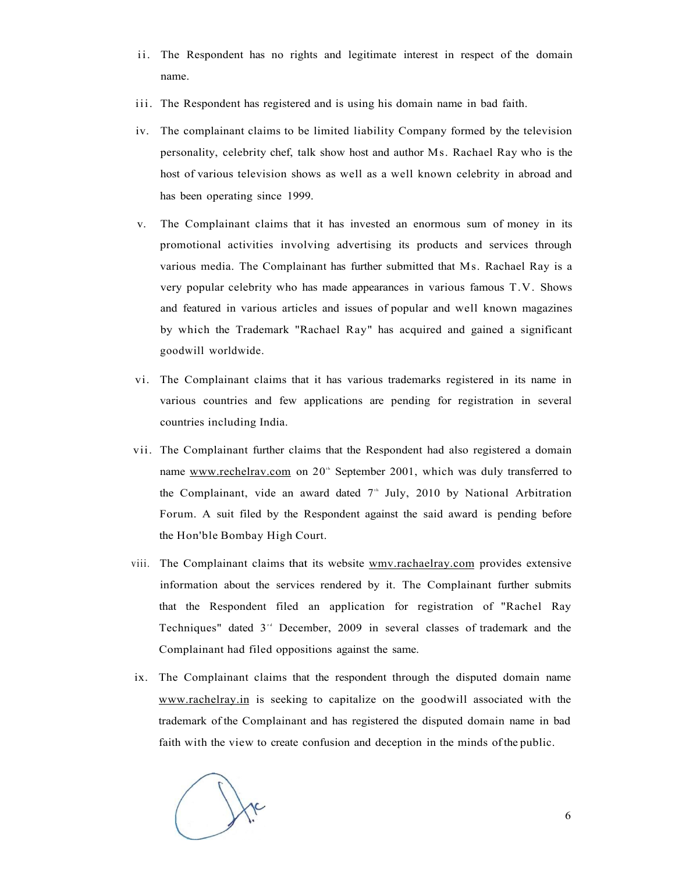- ii. The Respondent has no rights and legitimate interest in respect of the domain name.
- iii. The Respondent has registered and is using his domain name in bad faith.
- iv. The complainant claims to be limited liability Company formed by the television personality, celebrity chef, talk show host and author Ms. Rachael Ray who is the host of various television shows as well as a well known celebrity in abroad and has been operating since 1999.
- v. The Complainant claims that it has invested an enormous sum of money in its promotional activities involving advertising its products and services through various media. The Complainant has further submitted that Ms. Rachael Ray is a very popular celebrity who has made appearances in various famous T.V. Shows and featured in various articles and issues of popular and well known magazines by which the Trademark "Rachael Ray" has acquired and gained a significant goodwill worldwide.
- vi. The Complainant claims that it has various trademarks registered in its name in various countries and few applications are pending for registration in several countries including India.
- vii. The Complainant further claims that the Respondent had also registered a domain name [www.rechelrav.com o](http://www.rechelrav.com)n 20<sup>th</sup> September 2001, which was duly transferred to the Complainant, vide an award dated  $7<sup>th</sup>$  July, 2010 by National Arbitration Forum. A suit filed by the Respondent against the said award is pending before the Hon'ble Bombay High Court.
- viii. The Complainant claims that its website [wmv.rachaelray.com](http://wmv.rachaelray.com) provides extensive information about the services rendered by it. The Complainant further submits that the Respondent filed an application for registration of "Rachel Ray Techniques" dated 3<sup>td</sup> December, 2009 in several classes of trademark and the Complainant had filed oppositions against the same.
- ix. The Complainant claims that the respondent through the disputed domain name [www.rachelray.in](http://www.rachelray.in) is seeking to capitalize on the goodwill associated with the trademark of the Complainant and has registered the disputed domain name in bad faith with the view to create confusion and deception in the minds of the public.

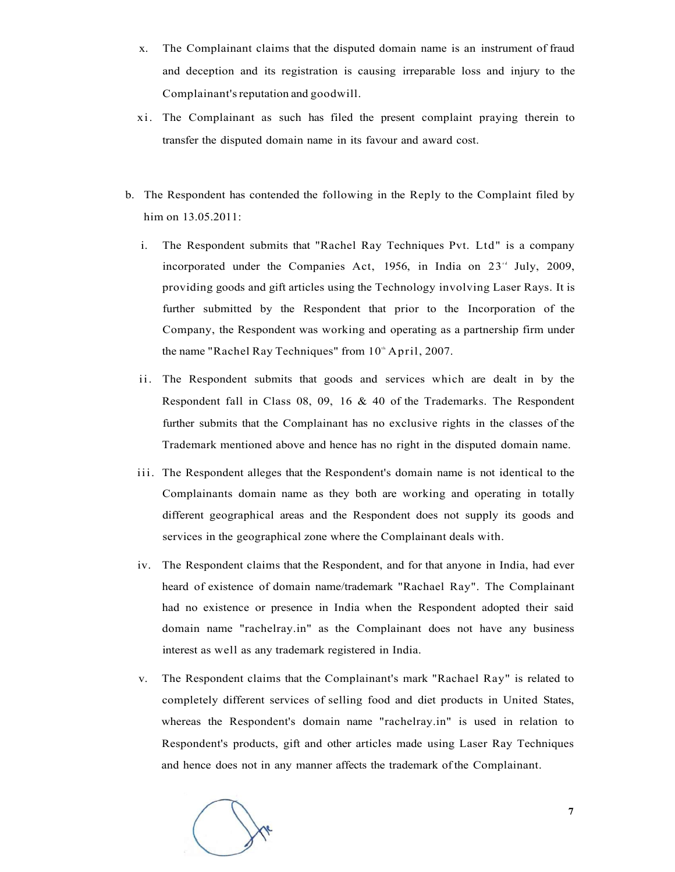- x. The Complainant claims that the disputed domain name is an instrument of fraud and deception and its registration is causing irreparable loss and injury to the Complainant's reputation and goodwill.
- xi. The Complainant as such has filed the present complaint praying therein to transfer the disputed domain name in its favour and award cost.
- b. The Respondent has contended the following in the Reply to the Complaint filed by him on 13.05.2011:
	- i. The Respondent submits that "Rachel Ray Techniques Pvt. Ltd" is a company incorporated under the Companies Act, 1956, in India on  $23^{14}$  July, 2009, providing goods and gift articles using the Technology involving Laser Rays. It is further submitted by the Respondent that prior to the Incorporation of the Company, the Respondent was working and operating as a partnership firm under the name "Rachel Ray Techniques" from  $10<sup>th</sup>$  April, 2007.
	- ii. The Respondent submits that goods and services which are dealt in by the Respondent fall in Class 08, 09, 16 & 40 of the Trademarks. The Respondent further submits that the Complainant has no exclusive rights in the classes of the Trademark mentioned above and hence has no right in the disputed domain name.
	- iii. The Respondent alleges that the Respondent's domain name is not identical to the Complainants domain name as they both are working and operating in totally different geographical areas and the Respondent does not supply its goods and services in the geographical zone where the Complainant deals with.
	- iv. The Respondent claims that the Respondent, and for that anyone in India, had ever heard of existence of domain name/trademark "Rachael Ray". The Complainant had no existence or presence in India when the Respondent adopted their said domain name "rachelray.in" as the Complainant does not have any business interest as well as any trademark registered in India.
	- v. The Respondent claims that the Complainant's mark "Rachael Ray" is related to completely different services of selling food and diet products in United States, whereas the Respondent's domain name "rachelray.in" is used in relation to Respondent's products, gift and other articles made using Laser Ray Techniques and hence does not in any manner affects the trademark of the Complainant.

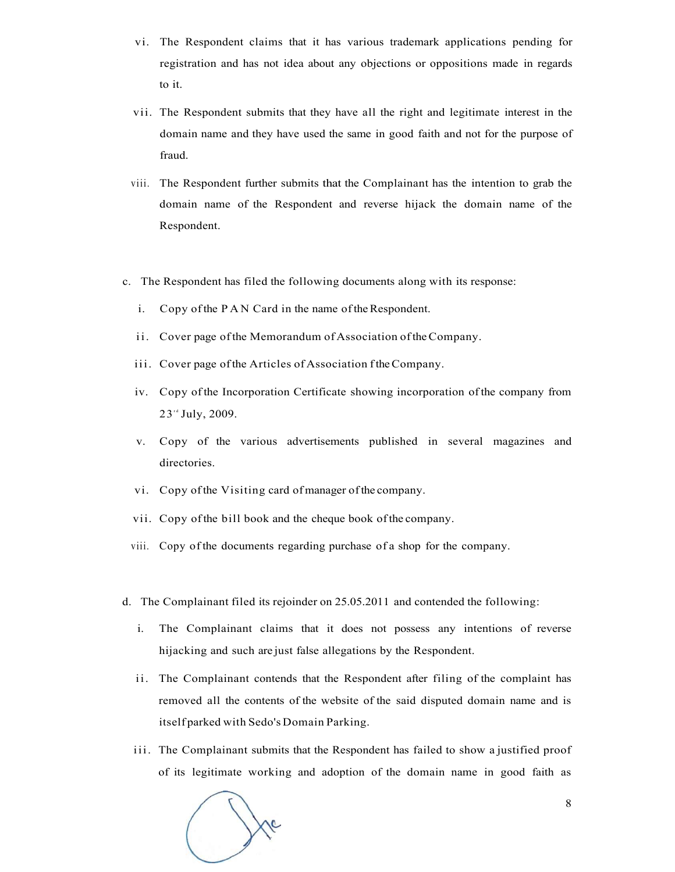- vi. The Respondent claims that it has various trademark applications pending for registration and has not idea about any objections or oppositions made in regards to it.
- vii. The Respondent submits that they have all the right and legitimate interest in the domain name and they have used the same in good faith and not for the purpose of fraud.
- viii. The Respondent further submits that the Complainant has the intention to grab the domain name of the Respondent and reverse hijack the domain name of the Respondent.
- c. The Respondent has filed the following documents along with its response:
	- i. Copy of the PA N Card in the name of the Respondent.
	- ii. Cover page of the Memorandum of Association of the Company.
	- iii. Cover page of the Articles of Association f the Company.
	- iv. Copy of the Incorporation Certificate showing incorporation of the company from 23<sup>rd</sup> July, 2009.
	- v. Copy of the various advertisements published in several magazines and directories.
	- vi. Copy of the Visiting card of manager of the company.
	- vii. Copy of the bill book and the cheque book of the company.
	- viii. Copy of the documents regarding purchase of a shop for the company.
- d. The Complainant filed its rejoinder on 25.05.2011 and contended the following:
	- i. The Complainant claims that it does not possess any intentions of reverse hijacking and such are just false allegations by the Respondent.
	- ii. The Complainant contends that the Respondent after filing of the complaint has removed all the contents of the website of the said disputed domain name and is itself parked with Sedo's Domain Parking.
	- iii. The Complainant submits that the Respondent has failed to show a justified proof of its legitimate working and adoption of the domain name in good faith as

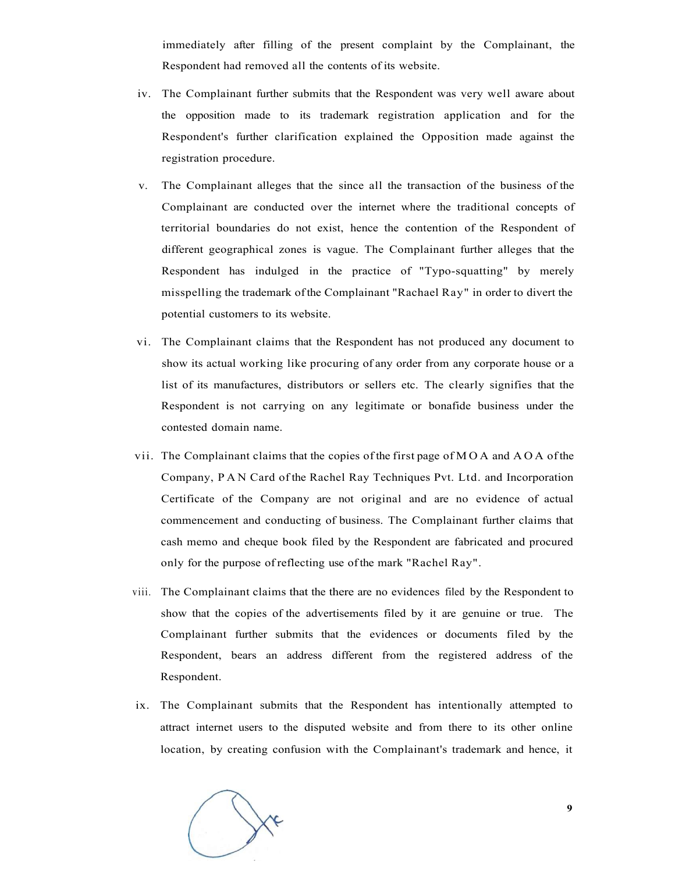immediately after filling of the present complaint by the Complainant, the Respondent had removed all the contents of its website.

- iv. The Complainant further submits that the Respondent was very well aware about the opposition made to its trademark registration application and for the Respondent's further clarification explained the Opposition made against the registration procedure.
- v. The Complainant alleges that the since all the transaction of the business of the Complainant are conducted over the internet where the traditional concepts of territorial boundaries do not exist, hence the contention of the Respondent of different geographical zones is vague. The Complainant further alleges that the Respondent has indulged in the practice of "Typo-squatting" by merely misspelling the trademark of the Complainant "Rachael Ray" in order to divert the potential customers to its website.
- vi. The Complainant claims that the Respondent has not produced any document to show its actual working like procuring of any order from any corporate house or a list of its manufactures, distributors or sellers etc. The clearly signifies that the Respondent is not carrying on any legitimate or bonafide business under the contested domain name.
- vii. The Complainant claims that the copies of the first page of MO A and AO A of the Company, PA N Card of the Rachel Ray Techniques Pvt. Ltd. and Incorporation Certificate of the Company are not original and are no evidence of actual commencement and conducting of business. The Complainant further claims that cash memo and cheque book filed by the Respondent are fabricated and procured only for the purpose of reflecting use of the mark "Rachel Ray".
- viii. The Complainant claims that the there are no evidences filed by the Respondent to show that the copies of the advertisements filed by it are genuine or true. The Complainant further submits that the evidences or documents filed by the Respondent, bears an address different from the registered address of the Respondent.
- ix. The Complainant submits that the Respondent has intentionally attempted to attract internet users to the disputed website and from there to its other online location, by creating confusion with the Complainant's trademark and hence, it

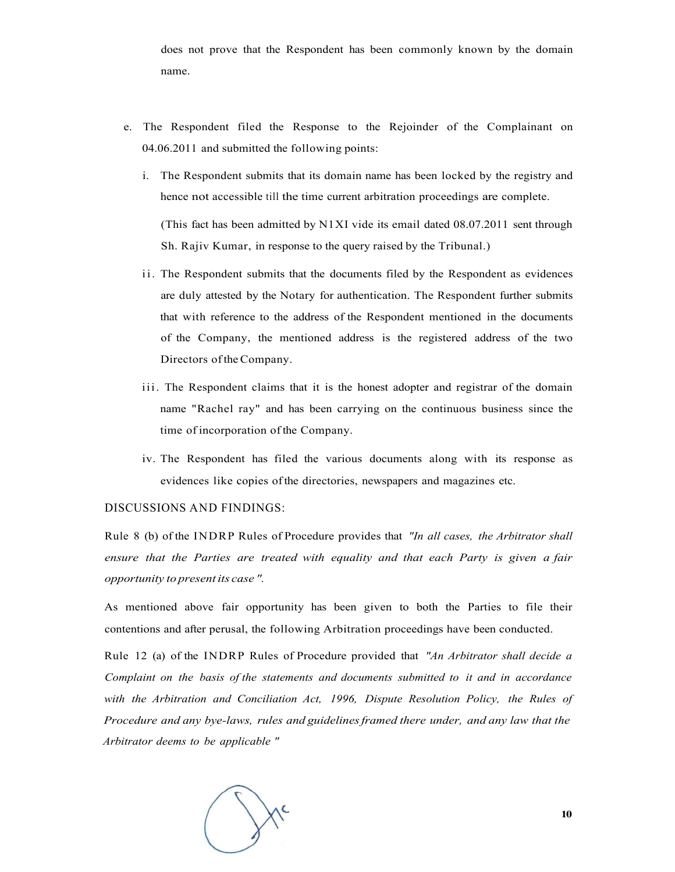does not prove that the Respondent has been commonly known by the domain name.

- e. The Respondent filed the Response to the Rejoinder of the Complainant on 04.06.2011 and submitted the following points:
	- i. The Respondent submits that its domain name has been locked by the registry and hence not accessible till the time current arbitration proceedings are complete.

(This fact has been admitted by  $N1XI$  vide its email dated 08.07.2011 sent through Sh. Rajiv Kumar, in response to the query raised by the Tribunal.)

- ii. The Respondent submits that the documents filed by the Respondent as evidences are duly attested by the Notary for authentication. The Respondent further submits that with reference to the address of the Respondent mentioned in the documents of the Company, the mentioned address is the registered address of the two Directors of the Company.
- iii. The Respondent claims that it is the honest adopter and registrar of the domain name "Rachel ray" and has been carrying on the continuous business since the time of incorporation of the Company.
- iv. The Respondent has filed the various documents along with its response as evidences like copies of the directories, newspapers and magazines etc.

#### DISCUSSIONS AND FINDINGS:

Rule 8 (b) of the INDRP Rules of Procedure provides that *"In all cases, the Arbitrator shall ensure that the Parties are treated with equality and that each Party is given a fair opportunity to present its case ".* 

As mentioned above fair opportunity has been given to both the Parties to file their contentions and after perusal, the following Arbitration proceedings have been conducted.

Rule 12 (a) of the INDRP Rules of Procedure provided that *"An Arbitrator shall decide a Complaint on the basis of the statements and documents submitted to it and in accordance with the Arbitration and Conciliation Act, 1996, Dispute Resolution Policy, the Rules of Procedure and any bye-laws, rules and guidelines framed there under, and any law that the Arbitrator deems to be applicable "* 

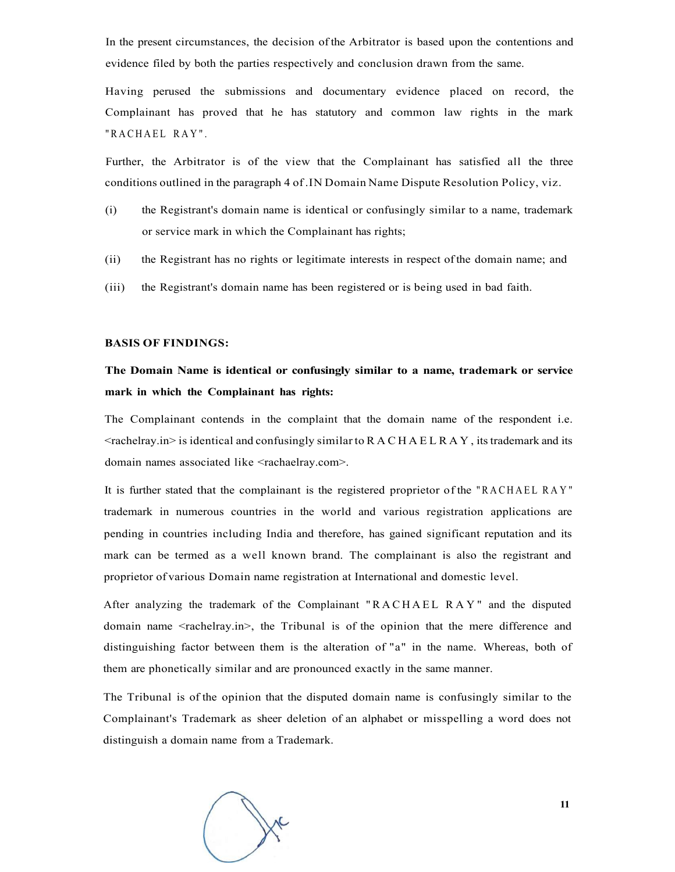In the present circumstances, the decision of the Arbitrator is based upon the contentions and evidence filed by both the parties respectively and conclusion drawn from the same.

Having perused the submissions and documentary evidence placed on record, the Complainant has proved that he has statutory and common law rights in the mark "RACHAEL RAY".

Further, the Arbitrator is of the view that the Complainant has satisfied all the three conditions outlined in the paragraph 4 of .IN Domain Name Dispute Resolution Policy, viz.

- (i) the Registrant's domain name is identical or confusingly similar to a name, trademark or service mark in which the Complainant has rights;
- (ii) the Registrant has no rights or legitimate interests in respect of the domain name; and
- (iii) the Registrant's domain name has been registered or is being used in bad faith.

#### **BASIS OF FINDINGS:**

### **The Domain Name is identical or confusingly similar to a name, trademark or service mark in which the Complainant has rights:**

The Complainant contends in the complaint that the domain name of the respondent i.e.  $\leq$ rachelray.in> is identical and confusingly similar to RACHAELRAY, its trademark and its domain names associated like <rachaelray.com>.

It is further stated that the complainant is the registered proprietor of the "RACHAE L RAY " trademark in numerous countries in the world and various registration applications are pending in countries including India and therefore, has gained significant reputation and its mark can be termed as a well known brand. The complainant is also the registrant and proprietor of various Domain name registration at International and domestic level.

After analyzing the trademark of the Complainant "RACHAEL RAY" and the disputed domain name <rachelray.in>, the Tribunal is of the opinion that the mere difference and distinguishing factor between them is the alteration of "a" in the name. Whereas, both of them are phonetically similar and are pronounced exactly in the same manner.

The Tribunal is of the opinion that the disputed domain name is confusingly similar to the Complainant's Trademark as sheer deletion of an alphabet or misspelling a word does not distinguish a domain name from a Trademark.

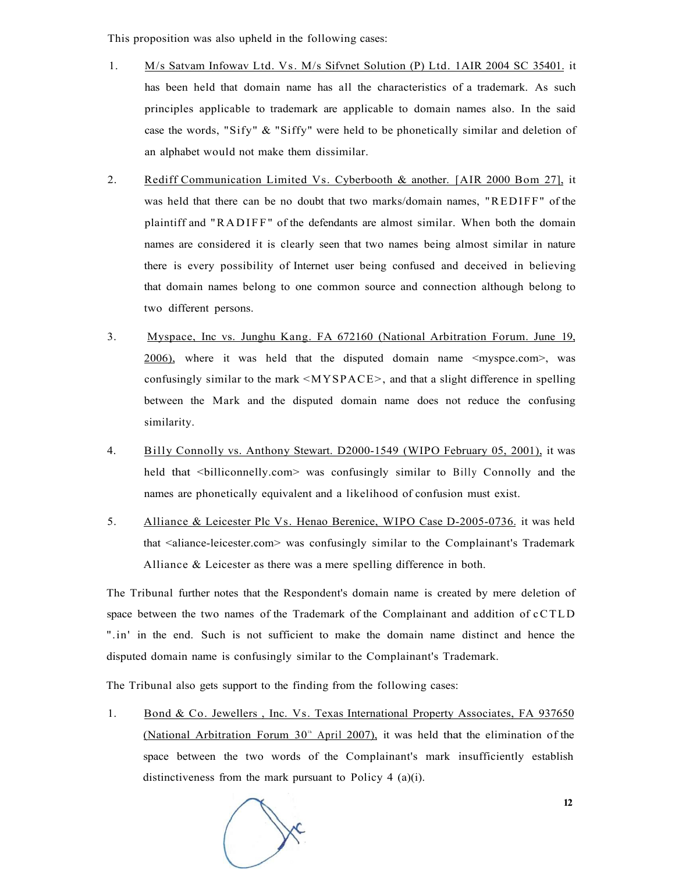This proposition was also upheld in the following cases:

- 1. M/s Satvam Infowav Ltd. Vs. M/s Sifvnet Solution (P) Ltd. 1AIR 2004 SC 35401. it has been held that domain name has all the characteristics of a trademark. As such principles applicable to trademark are applicable to domain names also. In the said case the words, "Sify" & "Siffy" were held to be phonetically similar and deletion of an alphabet would not make them dissimilar.
- 2. Rediff Communication Limited Vs. Cyberbooth & another. [AIR 2000 Bom 27], it was held that there can be no doubt that two marks/domain names, "REDIFF" of the plaintiff and "RADIFF" of the defendants are almost similar. When both the domain names are considered it is clearly seen that two names being almost similar in nature there is every possibility of Internet user being confused and deceived in believing that domain names belong to one common source and connection although belong to two different persons.
- 3. Myspace, Inc vs. Junghu Kang. FA 672160 (National Arbitration Forum. June 19,  $2006$ ), where it was held that the disputed domain name  $\leq$ myspce.com $\geq$ , was confusingly similar to the mark <MYSPACE>, and that a slight difference in spelling between the Mark and the disputed domain name does not reduce the confusing similarity.
- 4. Billy Connolly vs. Anthony Stewart. D2000-1549 (WIPO February 05, 2001), it was held that <br/>billiconnelly.com> was confusingly similar to Billy Connolly and the names are phonetically equivalent and a likelihood of confusion must exist.
- 5. Alliance & Leicester Plc Vs. Henao Berenice, WIPO Case D-2005-0736. it was held that <aliance-leicester.com> was confusingly similar to the Complainant's Trademark Alliance & Leicester as there was a mere spelling difference in both.

The Tribunal further notes that the Respondent's domain name is created by mere deletion of space between the two names of the Trademark of the Complainant and addition of cCTLD ".in' in the end. Such is not sufficient to make the domain name distinct and hence the disputed domain name is confusingly similar to the Complainant's Trademark.

The Tribunal also gets support to the finding from the following cases:

1. Bond & Co. Jewellers, Inc. Vs. Texas International Property Associates, FA 937650 (National Arbitration Forum 30<sup>th</sup> April 2007), it was held that the elimination of the space between the two words of the Complainant's mark insufficiently establish distinctiveness from the mark pursuant to Policy 4 (a)(i).

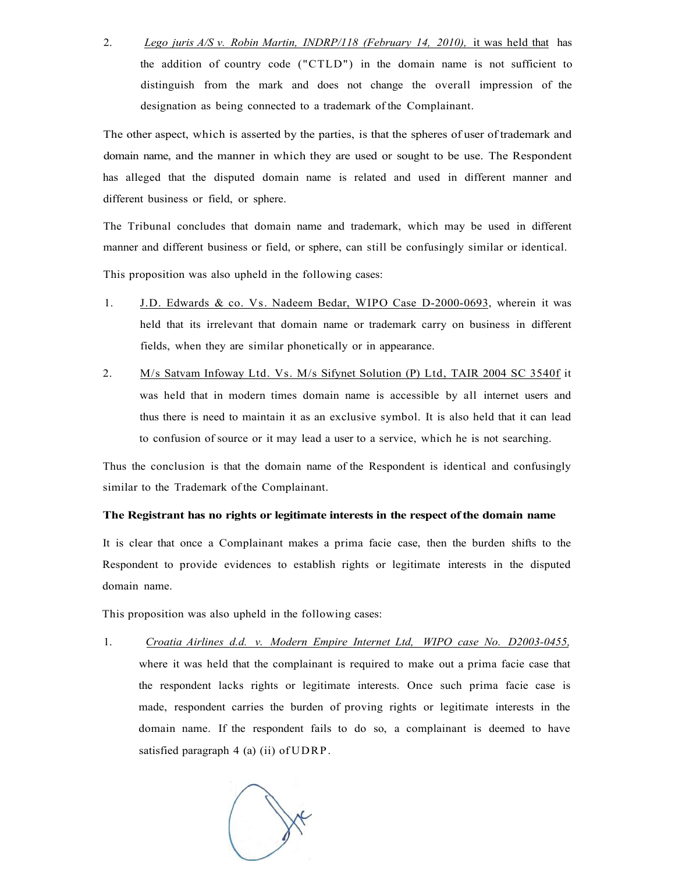2. *Lego juris A/S v. Robin Martin, INDRP/118 (February 14, 2010),* it was held that has the addition of country code ("CTLD") in the domain name is not sufficient to distinguish from the mark and does not change the overall impression of the designation as being connected to a trademark of the Complainant.

The other aspect, which is asserted by the parties, is that the spheres of user of trademark and domain name, and the manner in which they are used or sought to be use. The Respondent has alleged that the disputed domain name is related and used in different manner and different business or field, or sphere.

The Tribunal concludes that domain name and trademark, which may be used in different manner and different business or field, or sphere, can still be confusingly similar or identical.

This proposition was also upheld in the following cases:

- 1. J.D. Edwards & co. Vs. Nadeem Bedar, WIPO Case D-2000-0693, wherein it was held that its irrelevant that domain name or trademark carry on business in different fields, when they are similar phonetically or in appearance.
- 2. M/s Satvam Infoway Ltd. Vs. M/s Sifynet Solution (P) Ltd, TAIR 2004 SC 3540f it was held that in modern times domain name is accessible by all internet users and thus there is need to maintain it as an exclusive symbol. It is also held that it can lead to confusion of source or it may lead a user to a service, which he is not searching.

Thus the conclusion is that the domain name of the Respondent is identical and confusingly similar to the Trademark of the Complainant.

#### **The Registrant has no rights or legitimate interests in the respect of the domain name**

It is clear that once a Complainant makes a prima facie case, then the burden shifts to the Respondent to provide evidences to establish rights or legitimate interests in the disputed domain name.

This proposition was also upheld in the following cases:

1. *Croatia Airlines d.d. v. Modern Empire Internet Ltd, WIPO case No. D2003-0455,*  where it was held that the complainant is required to make out a prima facie case that the respondent lacks rights or legitimate interests. Once such prima facie case is made, respondent carries the burden of proving rights or legitimate interests in the domain name. If the respondent fails to do so, a complainant is deemed to have satisfied paragraph 4 (a) (ii) of UDRP.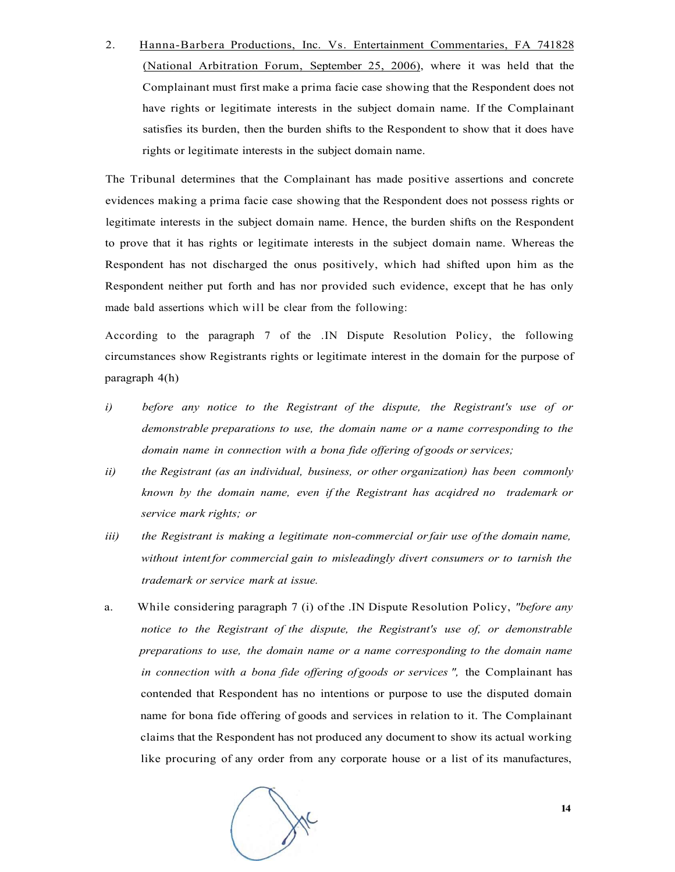2. Hanna-Barbera Productions, Inc. Vs. Entertainment Commentaries, FA 741828 (National Arbitration Forum, September 25, 2006), where it was held that the Complainant must first make a prima facie case showing that the Respondent does not have rights or legitimate interests in the subject domain name. If the Complainant satisfies its burden, then the burden shifts to the Respondent to show that it does have rights or legitimate interests in the subject domain name.

The Tribunal determines that the Complainant has made positive assertions and concrete evidences making a prima facie case showing that the Respondent does not possess rights or legitimate interests in the subject domain name. Hence, the burden shifts on the Respondent to prove that it has rights or legitimate interests in the subject domain name. Whereas the Respondent has not discharged the onus positively, which had shifted upon him as the Respondent neither put forth and has nor provided such evidence, except that he has only made bald assertions which will be clear from the following:

According to the paragraph 7 of the .IN Dispute Resolution Policy, the following circumstances show Registrants rights or legitimate interest in the domain for the purpose of paragraph 4(h)

- *i) before any notice to the Registrant of the dispute, the Registrant's use of or demonstrable preparations to use, the domain name or a name corresponding to the domain name in connection with a bona fide offering of goods or services;*
- *ii) the Registrant (as an individual, business, or other organization) has been commonly known by the domain name, even if the Registrant has acqidred no trademark or service mark rights; or*
- *iii)* the Registrant is making a legitimate non-commercial or fair use of the domain name, *without intent for commercial gain to misleadingly divert consumers or to tarnish the trademark or service mark at issue.*
- a. While considering paragraph 7 (i) of the .IN Dispute Resolution Policy, *"before any notice to the Registrant of the dispute, the Registrant's use of, or demonstrable preparations to use, the domain name or a name corresponding to the domain name in connection with a bona fide offering of goods or services ",* the Complainant has contended that Respondent has no intentions or purpose to use the disputed domain name for bona fide offering of goods and services in relation to it. The Complainant claims that the Respondent has not produced any document to show its actual working like procuring of any order from any corporate house or a list of its manufactures,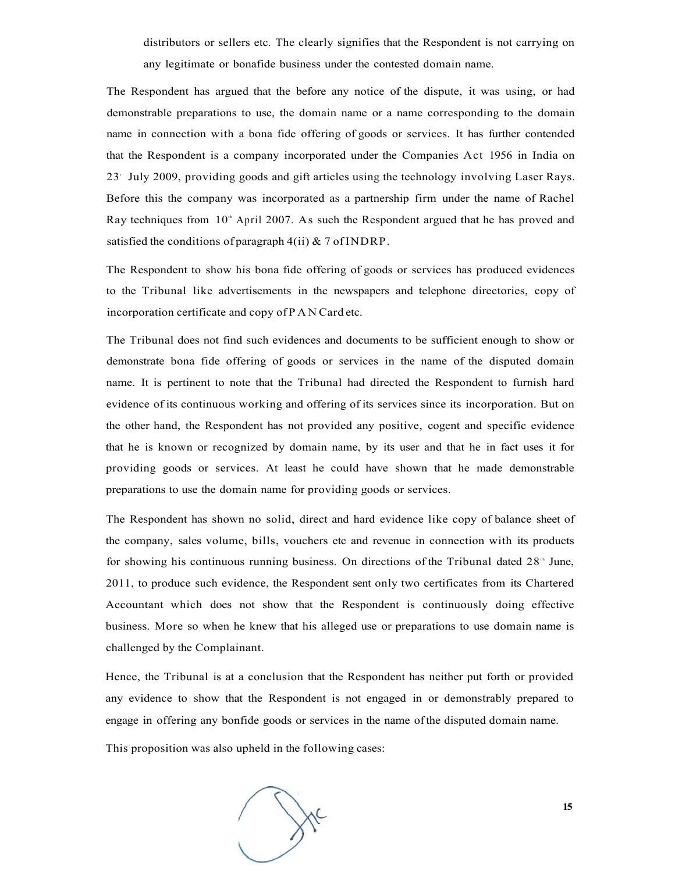distributors or sellers etc. The clearly signifies that the Respondent is not carrying on any legitimate or bonafide business under the contested domain name.

The Respondent has argued that the before any notice of the dispute, it was using, or had demonstrable preparations to use, the domain name or a name corresponding to the domain name in connection with a bona fide offering of goods or services. It has further contended that the Respondent is a company incorporated under the Companies Act 1956 in India on 23<sup>r</sup> July 2009, providing goods and gift articles using the technology involving Laser Rays. Before this the company was incorporated as a partnership firm under the name of Rachel Ray techniques from 10<sup>th</sup> April 2007. As such the Respondent argued that he has proved and satisfied the conditions of paragraph  $4(ii)$  & 7 of INDRP.

The Respondent to show his bona fide offering of goods or services has produced evidences to the Tribunal like advertisements in the newspapers and telephone directories, copy of incorporation certificate and copy of PA N Card etc.

The Tribunal does not find such evidences and documents to be sufficient enough to show or demonstrate bona fide offering of goods or services in the name of the disputed domain name. It is pertinent to note that the Tribunal had directed the Respondent to furnish hard evidence of its continuous working and offering of its services since its incorporation. But on the other hand, the Respondent has not provided any positive, cogent and specific evidence that he is known or recognized by domain name, by its user and that he in fact uses it for providing goods or services. At least he could have shown that he made demonstrable preparations to use the domain name for providing goods or services.

The Respondent has shown no solid, direct and hard evidence like copy of balance sheet of the company, sales volume, bills, vouchers etc and revenue in connection with its products for showing his continuous running business. On directions of the Tribunal dated 28<sup>th</sup> June, 2011, to produce such evidence, the Respondent sent only two certificates from its Chartered Accountant which does not show that the Respondent is continuously doing effective business. More so when he knew that his alleged use or preparations to use domain name is challenged by the Complainant.

Hence, the Tribunal is at a conclusion that the Respondent has neither put forth or provided any evidence to show that the Respondent is not engaged in or demonstrably prepared to engage in offering any bonfide goods or services in the name of the disputed domain name.

This proposition was also upheld in the following cases:

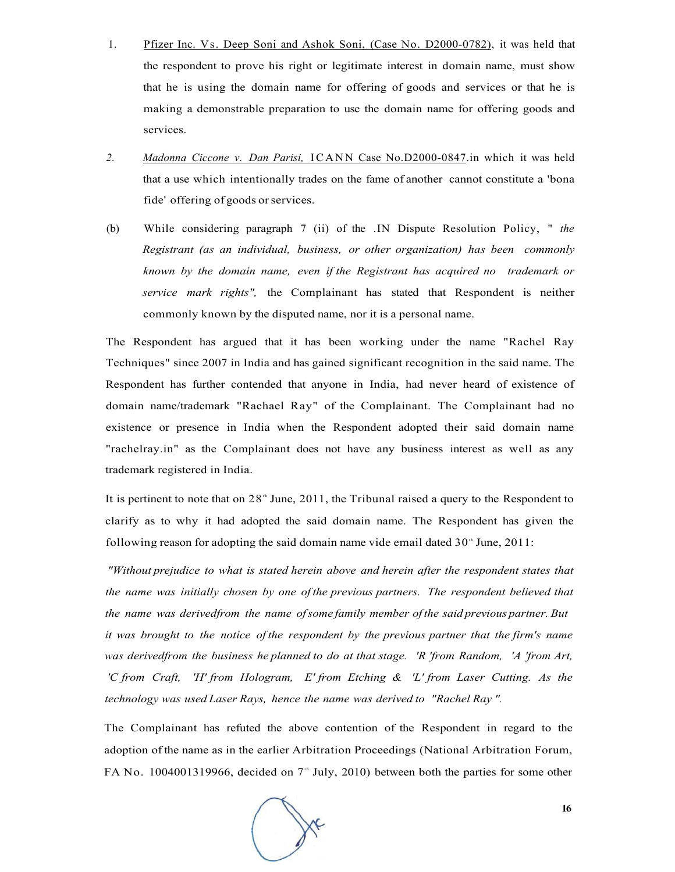- 1. Pfizer Inc. Vs. Deep Soni and Ashok Soni, (Case No. D2000-0782), it was held that the respondent to prove his right or legitimate interest in domain name, must show that he is using the domain name for offering of goods and services or that he is making a demonstrable preparation to use the domain name for offering goods and services.
- 2. *Madonna Ciccone v. Dan Parisi,* ICANN Case No.D2000-0847.in which it was held that a use which intentionally trades on the fame of another cannot constitute a 'bona fide' offering of goods or services.
- (b) While considering paragraph 7 (ii) of the .IN Dispute Resolution Policy, " *the Registrant (as an individual, business, or other organization) has been commonly known by the domain name, even if the Registrant has acquired no trademark or service mark rights",* the Complainant has stated that Respondent is neither commonly known by the disputed name, nor it is a personal name.

The Respondent has argued that it has been working under the name "Rachel Ray Techniques" since 2007 in India and has gained significant recognition in the said name. The Respondent has further contended that anyone in India, had never heard of existence of domain name/trademark "Rachael Ray" of the Complainant. The Complainant had no existence or presence in India when the Respondent adopted their said domain name "rachelray.in" as the Complainant does not have any business interest as well as any trademark registered in India.

It is pertinent to note that on  $28<sup>th</sup>$  June,  $2011$ , the Tribunal raised a query to the Respondent to clarify as to why it had adopted the said domain name. The Respondent has given the following reason for adopting the said domain name vide email dated  $30<sup>th</sup>$  June,  $2011$ :

*"Without prejudice to what is stated herein above and herein after the respondent states that the name was initially chosen by one of the previous partners. The respondent believed that the name was derivedfrom the name of some family member of the said previous partner. But it was brought to the notice of the respondent by the previous partner that the firm's name was derivedfrom the business he planned to do at that stage. 'R 'from Random, 'A 'from Art, 'C from Craft, 'H' from Hologram, E' from Etching & 'L' from Laser Cutting. As the technology was used Laser Rays, hence the name was derived to "Rachel Ray ".* 

The Complainant has refuted the above contention of the Respondent in regard to the adoption of the name as in the earlier Arbitration Proceedings (National Arbitration Forum, FA No. 1004001319966, decided on  $7<sup>th</sup>$  July, 2010) between both the parties for some other

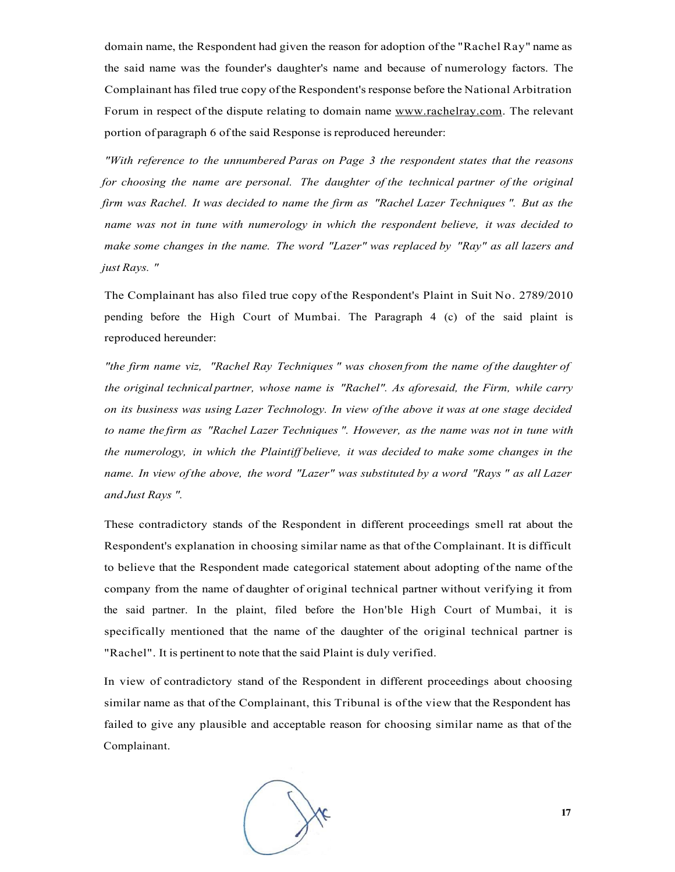domain name, the Respondent had given the reason for adoption of the "Rachel Ray" name as the said name was the founder's daughter's name and because of numerology factors. The Complainant has filed true copy of the Respondent's response before the National Arbitration Forum in respect of the dispute relating to domain name [www.rachelray.com.](http://www.rachelray.com) The relevant portion of paragraph 6 of the said Response is reproduced hereunder:

*"With reference to the unnumbered Paras on Page 3 the respondent states that the reasons for choosing the name are personal. The daughter of the technical partner of the original firm was Rachel. It was decided to name the firm as "Rachel Lazer Techniques ". But as the name was not in tune with numerology in which the respondent believe, it was decided to make some changes in the name. The word "Lazer" was replaced by "Ray" as all lazers and just Rays. "* 

The Complainant has also filed true copy of the Respondent's Plaint in Suit No. 2789/2010 pending before the High Court of Mumbai. The Paragraph 4 (c) of the said plaint is reproduced hereunder:

*"the firm name viz, "Rachel Ray Techniques " was chosen from the name of the daughter of the original technical partner, whose name is "Rachel". As aforesaid, the Firm, while carry on its business was using Lazer Technology. In view of the above it was at one stage decided to name the firm as "Rachel Lazer Techniques ". However, as the name was not in tune with the numerology, in which the Plaintiff believe, it was decided to make some changes in the name. In view of the above, the word "Lazer" was substituted by a word "Rays " as all Lazer and Just Rays ".* 

These contradictory stands of the Respondent in different proceedings smell rat about the Respondent's explanation in choosing similar name as that of the Complainant. It is difficult to believe that the Respondent made categorical statement about adopting of the name of the company from the name of daughter of original technical partner without verifying it from the said partner. In the plaint, filed before the Hon'ble High Court of Mumbai, it is specifically mentioned that the name of the daughter of the original technical partner is "Rachel". It is pertinent to note that the said Plaint is duly verified.

In view of contradictory stand of the Respondent in different proceedings about choosing similar name as that of the Complainant, this Tribunal is of the view that the Respondent has failed to give any plausible and acceptable reason for choosing similar name as that of the Complainant.

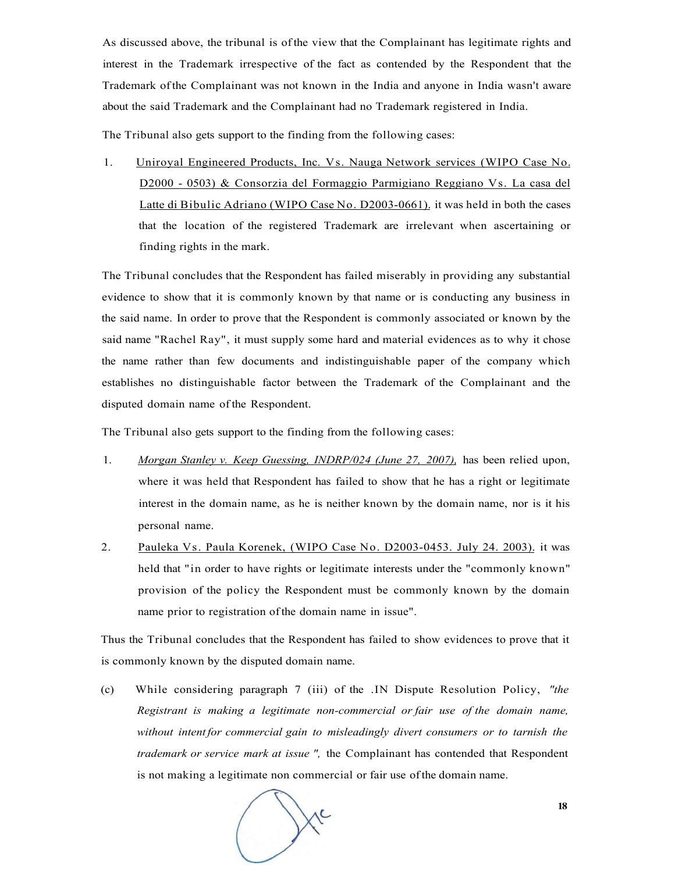As discussed above, the tribunal is of the view that the Complainant has legitimate rights and interest in the Trademark irrespective of the fact as contended by the Respondent that the Trademark of the Complainant was not known in the India and anyone in India wasn't aware about the said Trademark and the Complainant had no Trademark registered in India.

The Tribunal also gets support to the finding from the following cases:

1. Uniroyal Engineered Products, Inc. Vs. Nauga Network services (WIPO Case No. D2000 - 0503) & Consorzia del Formaggio Parmigiano Reggiano Vs. La casa del Latte di Bibulic Adriano (WIPO Case No. D2003-0661). it was held in both the cases that the location of the registered Trademark are irrelevant when ascertaining or finding rights in the mark.

The Tribunal concludes that the Respondent has failed miserably in providing any substantial evidence to show that it is commonly known by that name or is conducting any business in the said name. In order to prove that the Respondent is commonly associated or known by the said name "Rachel Ray", it must supply some hard and material evidences as to why it chose the name rather than few documents and indistinguishable paper of the company which establishes no distinguishable factor between the Trademark of the Complainant and the disputed domain name of the Respondent.

The Tribunal also gets support to the finding from the following cases:

- 1. *Morgan Stanley v. Keep Guessing, INDRP/024 (June 27, 2007),* has been relied upon, where it was held that Respondent has failed to show that he has a right or legitimate interest in the domain name, as he is neither known by the domain name, nor is it his personal name.
- 2. Pauleka Vs. Paula Korenek, (WIPO Case No. D2003-0453. July 24. 2003). it was held that "in order to have rights or legitimate interests under the "commonly known" provision of the policy the Respondent must be commonly known by the domain name prior to registration of the domain name in issue".

Thus the Tribunal concludes that the Respondent has failed to show evidences to prove that it is commonly known by the disputed domain name.

(c) While considering paragraph 7 (iii) of the .IN Dispute Resolution Policy, *"the Registrant is making a legitimate non-commercial or fair use of the domain name, without intent for commercial gain to misleadingly divert consumers or to tarnish the trademark or service mark at issue ",* the Complainant has contended that Respondent is not making a legitimate non commercial or fair use of the domain name.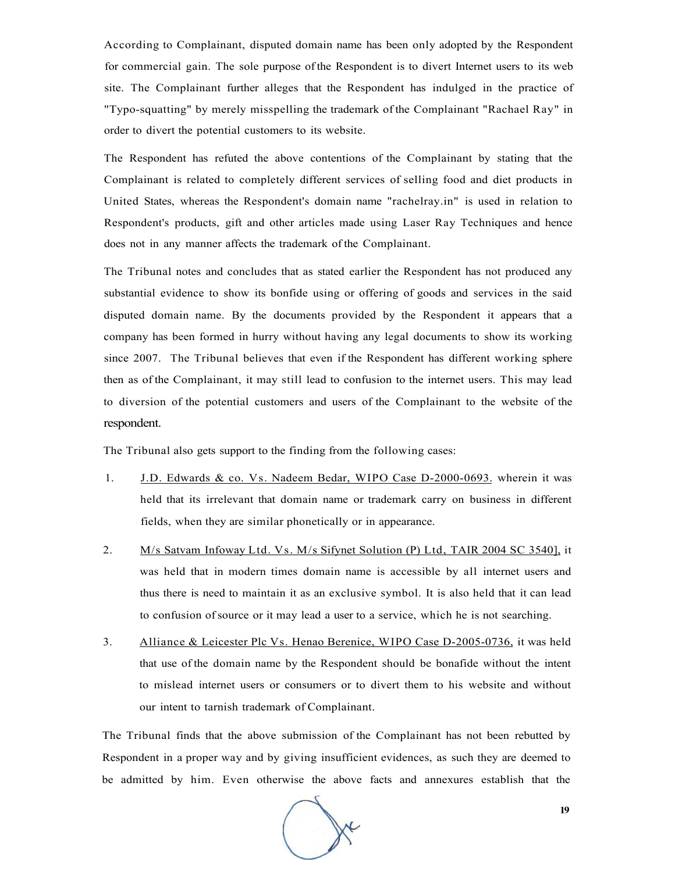According to Complainant, disputed domain name has been only adopted by the Respondent for commercial gain. The sole purpose of the Respondent is to divert Internet users to its web site. The Complainant further alleges that the Respondent has indulged in the practice of "Typo-squatting" by merely misspelling the trademark of the Complainant "Rachael Ray" in order to divert the potential customers to its website.

The Respondent has refuted the above contentions of the Complainant by stating that the Complainant is related to completely different services of selling food and diet products in United States, whereas the Respondent's domain name "rachelray.in" is used in relation to Respondent's products, gift and other articles made using Laser Ray Techniques and hence does not in any manner affects the trademark of the Complainant.

The Tribunal notes and concludes that as stated earlier the Respondent has not produced any substantial evidence to show its bonfide using or offering of goods and services in the said disputed domain name. By the documents provided by the Respondent it appears that a company has been formed in hurry without having any legal documents to show its working since 2007. The Tribunal believes that even if the Respondent has different working sphere then as of the Complainant, it may still lead to confusion to the internet users. This may lead to diversion of the potential customers and users of the Complainant to the website of the respondent.

The Tribunal also gets support to the finding from the following cases:

- 1. J.D. Edwards & co. Vs. Nadeem Bedar, WIPO Case D-2000-0693. wherein it was held that its irrelevant that domain name or trademark carry on business in different fields, when they are similar phonetically or in appearance.
- 2. M/s Satvam Infoway Ltd. Vs. M/s Sifynet Solution (P) Ltd, TAIR 2004 SC 3540], it was held that in modern times domain name is accessible by all internet users and thus there is need to maintain it as an exclusive symbol. It is also held that it can lead to confusion of source or it may lead a user to a service, which he is not searching.
- 3. Alliance & Leicester Plc Vs. Henao Berenice, WIPO Case D-2005-0736, it was held that use of the domain name by the Respondent should be bonafide without the intent to mislead internet users or consumers or to divert them to his website and without our intent to tarnish trademark of Complainant.

The Tribunal finds that the above submission of the Complainant has not been rebutted by Respondent in a proper way and by giving insufficient evidences, as such they are deemed to be admitted by him. Even otherwise the above facts and annexures establish that the

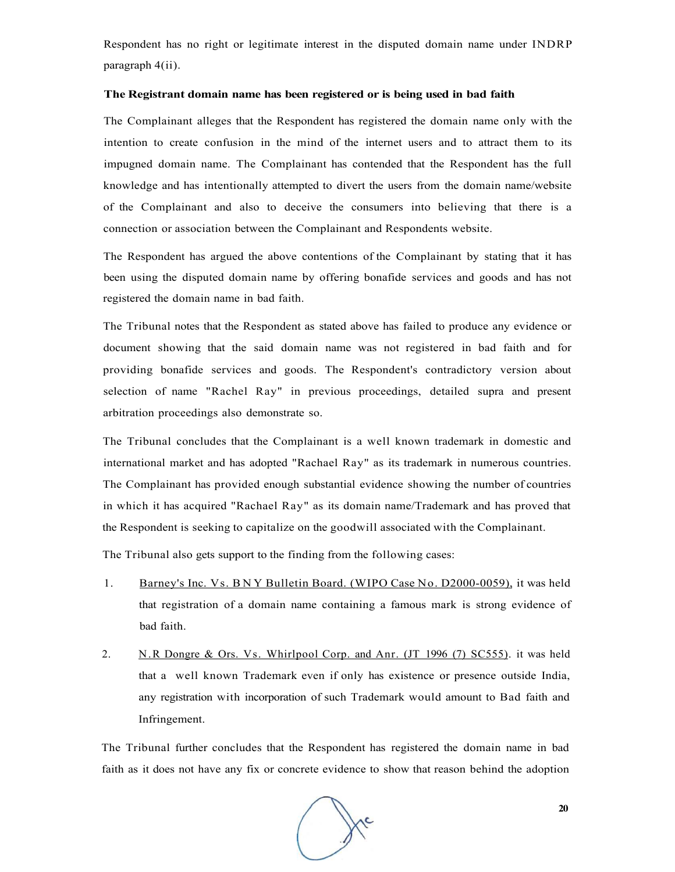Respondent has no right or legitimate interest in the disputed domain name under INDRP paragraph 4(ii).

#### **The Registrant domain name has been registered or is being used in bad faith**

The Complainant alleges that the Respondent has registered the domain name only with the intention to create confusion in the mind of the internet users and to attract them to its impugned domain name. The Complainant has contended that the Respondent has the full knowledge and has intentionally attempted to divert the users from the domain name/website of the Complainant and also to deceive the consumers into believing that there is a connection or association between the Complainant and Respondents website.

The Respondent has argued the above contentions of the Complainant by stating that it has been using the disputed domain name by offering bonafide services and goods and has not registered the domain name in bad faith.

The Tribunal notes that the Respondent as stated above has failed to produce any evidence or document showing that the said domain name was not registered in bad faith and for providing bonafide services and goods. The Respondent's contradictory version about selection of name "Rachel Ray" in previous proceedings, detailed supra and present arbitration proceedings also demonstrate so.

The Tribunal concludes that the Complainant is a well known trademark in domestic and international market and has adopted "Rachael Ray" as its trademark in numerous countries. The Complainant has provided enough substantial evidence showing the number of countries in which it has acquired "Rachael Ray" as its domain name/Trademark and has proved that the Respondent is seeking to capitalize on the goodwill associated with the Complainant.

The Tribunal also gets support to the finding from the following cases:

- 1. Barney's Inc. Vs. BN Y Bulletin Board. (WIPO Case No. D2000-0059), it was held that registration of a domain name containing a famous mark is strong evidence of bad faith.
- 2. N.R Dongre & Ors. Vs. Whirlpool Corp. and Anr. (JT 1996 (7) SC555). it was held that a well known Trademark even if only has existence or presence outside India, any registration with incorporation of such Trademark would amount to Bad faith and Infringement.

The Tribunal further concludes that the Respondent has registered the domain name in bad faith as it does not have any fix or concrete evidence to show that reason behind the adoption